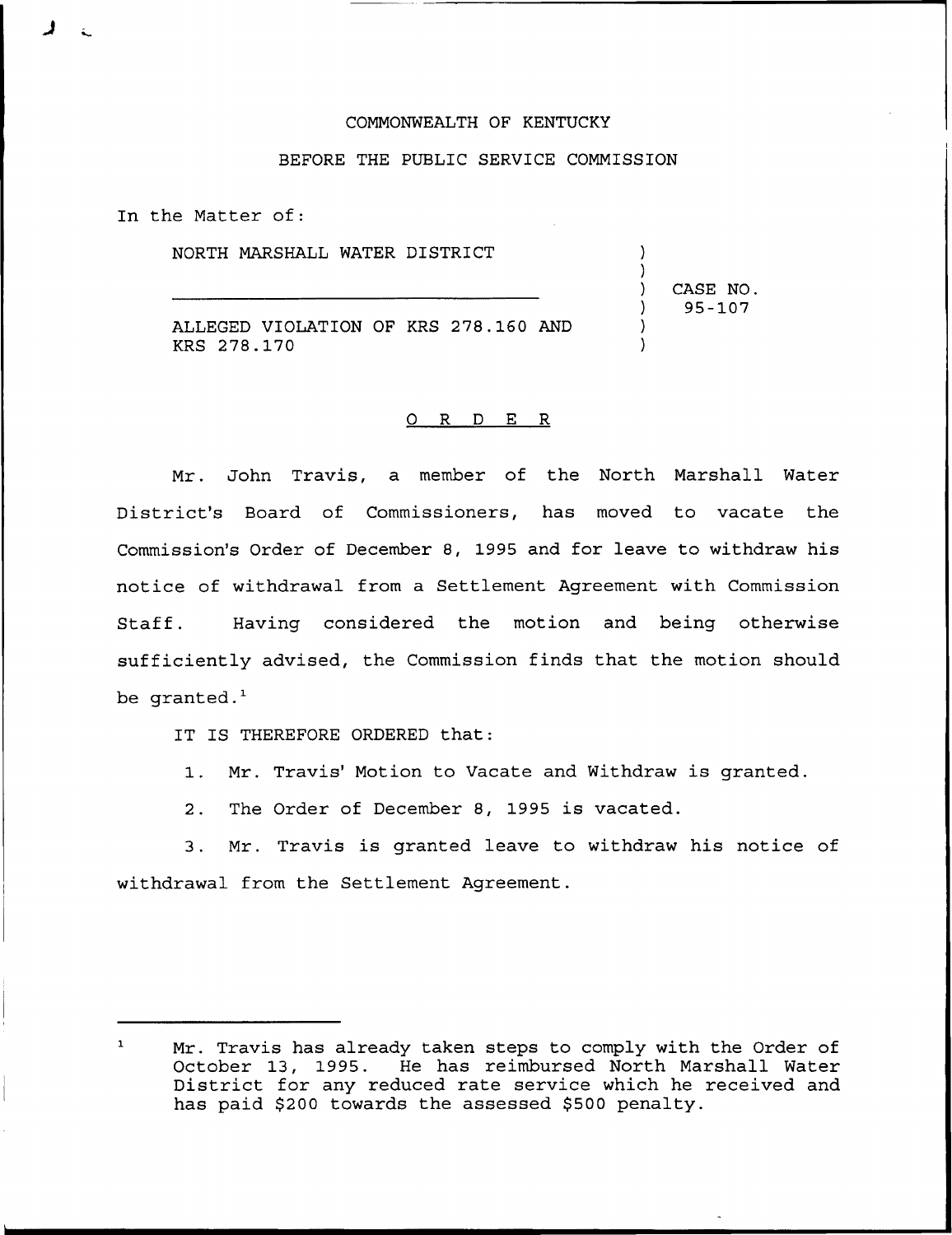## COMMONWEALTH OF KENTUCKY

## BEFORE THE PUBLIC SERVICE COMMISSION

In the Matter of:

NORTH MARSHALL WATER DISTRICT

ALLEGED VIOLATION OF KRS 278.160 AND KRS 278.170

## 0 R <sup>D</sup> E R

Mr. John Travis, a member of the North Marshall Water District's Board of Commissioners, has moved to vacate the Commission's Order of December 8, 1995 and for leave to withdraw his notice of withdrawal from a Settlement Agreement with Commission Staff. Having considered the motion and being otherwise sufficiently advised, the Commission finds that the motion should be  $q$ ranted. $<sup>1</sup>$ </sup>

IT IS THEREFORE ORDERED that:

1. Mr. Travis' Motion to Vacate and Withdraw is granted.

2. The Order of December 8, 1995 is vacated.

3. Mr. Travis is granted leave to withdraw his notice of withdrawal from the Settlement Agreement.

) CASE NO. ) 95-107

) )

> ) )

 $\mathbf{1}$ Mr. Travis has already taken steps to comply with the Order of October 13, 1995. He has reimbursed North Marshall Water District for any reduced rate service which he received and has paid \$200 towards the assessed \$500 penalty.